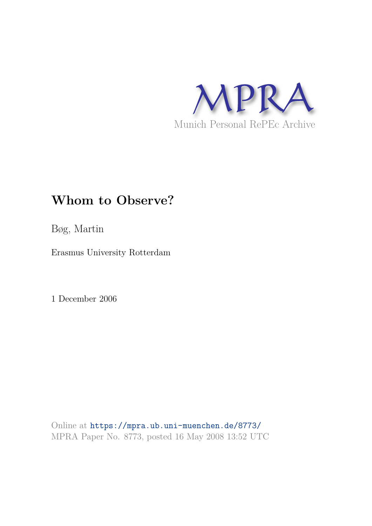

# **Whom to Observe?**

Bøg, Martin

Erasmus University Rotterdam

1 December 2006

Online at https://mpra.ub.uni-muenchen.de/8773/ MPRA Paper No. 8773, posted 16 May 2008 13:52 UTC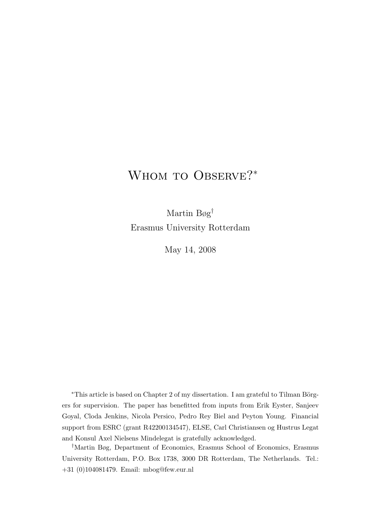# WHOM TO OBSERVE?\*

Martin Bøg† Erasmus University Rotterdam

May 14, 2008

\*This article is based on Chapter 2 of my dissertation. I am grateful to Tilman Börgers for supervision. The paper has benefitted from inputs from Erik Eyster, Sanjeev Goyal, Cloda Jenkins, Nicola Persico, Pedro Rey Biel and Peyton Young. Financial support from ESRC (grant R42200134547), ELSE, Carl Christiansen og Hustrus Legat and Konsul Axel Nielsens Mindelegat is gratefully acknowledged.

†Martin Bøg, Department of Economics, Erasmus School of Economics, Erasmus University Rotterdam, P.O. Box 1738, 3000 DR Rotterdam, The Netherlands. Tel.: +31 (0)104081479. Email: mbog@few.eur.nl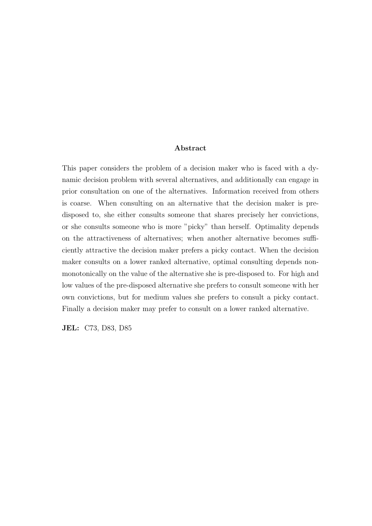#### Abstract

This paper considers the problem of a decision maker who is faced with a dynamic decision problem with several alternatives, and additionally can engage in prior consultation on one of the alternatives. Information received from others is coarse. When consulting on an alternative that the decision maker is predisposed to, she either consults someone that shares precisely her convictions, or she consults someone who is more "picky" than herself. Optimality depends on the attractiveness of alternatives; when another alternative becomes sufficiently attractive the decision maker prefers a picky contact. When the decision maker consults on a lower ranked alternative, optimal consulting depends nonmonotonically on the value of the alternative she is pre-disposed to. For high and low values of the pre-disposed alternative she prefers to consult someone with her own convictions, but for medium values she prefers to consult a picky contact. Finally a decision maker may prefer to consult on a lower ranked alternative.

JEL: C73, D83, D85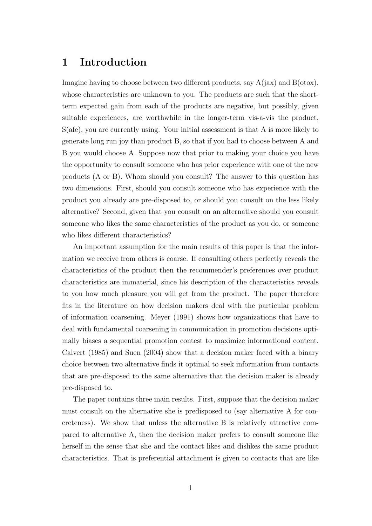# 1 Introduction

Imagine having to choose between two different products, say  $A(iax)$  and  $B(otox)$ , whose characteristics are unknown to you. The products are such that the shortterm expected gain from each of the products are negative, but possibly, given suitable experiences, are worthwhile in the longer-term vis-a-vis the product, S(afe), you are currently using. Your initial assessment is that A is more likely to generate long run joy than product B, so that if you had to choose between A and B you would choose A. Suppose now that prior to making your choice you have the opportunity to consult someone who has prior experience with one of the new products (A or B). Whom should you consult? The answer to this question has two dimensions. First, should you consult someone who has experience with the product you already are pre-disposed to, or should you consult on the less likely alternative? Second, given that you consult on an alternative should you consult someone who likes the same characteristics of the product as you do, or someone who likes different characteristics?

An important assumption for the main results of this paper is that the information we receive from others is coarse. If consulting others perfectly reveals the characteristics of the product then the recommender's preferences over product characteristics are immaterial, since his description of the characteristics reveals to you how much pleasure you will get from the product. The paper therefore fits in the literature on how decision makers deal with the particular problem of information coarsening. Meyer (1991) shows how organizations that have to deal with fundamental coarsening in communication in promotion decisions optimally biases a sequential promotion contest to maximize informational content. Calvert (1985) and Suen (2004) show that a decision maker faced with a binary choice between two alternative finds it optimal to seek information from contacts that are pre-disposed to the same alternative that the decision maker is already pre-disposed to.

The paper contains three main results. First, suppose that the decision maker must consult on the alternative she is predisposed to (say alternative A for concreteness). We show that unless the alternative B is relatively attractive compared to alternative A, then the decision maker prefers to consult someone like herself in the sense that she and the contact likes and dislikes the same product characteristics. That is preferential attachment is given to contacts that are like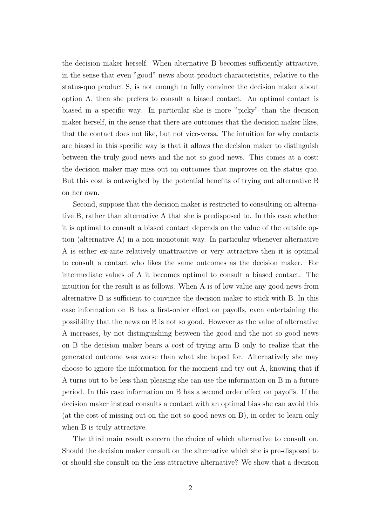the decision maker herself. When alternative B becomes sufficiently attractive, in the sense that even "good" news about product characteristics, relative to the status-quo product S, is not enough to fully convince the decision maker about option A, then she prefers to consult a biased contact. An optimal contact is biased in a specific way. In particular she is more "picky" than the decision maker herself, in the sense that there are outcomes that the decision maker likes, that the contact does not like, but not vice-versa. The intuition for why contacts are biased in this specific way is that it allows the decision maker to distinguish between the truly good news and the not so good news. This comes at a cost: the decision maker may miss out on outcomes that improves on the status quo. But this cost is outweighed by the potential benefits of trying out alternative B on her own.

Second, suppose that the decision maker is restricted to consulting on alternative B, rather than alternative A that she is predisposed to. In this case whether it is optimal to consult a biased contact depends on the value of the outside option (alternative A) in a non-monotonic way. In particular whenever alternative A is either ex-ante relatively unattractive or very attractive then it is optimal to consult a contact who likes the same outcomes as the decision maker. For intermediate values of A it becomes optimal to consult a biased contact. The intuition for the result is as follows. When A is of low value any good news from alternative B is sufficient to convince the decision maker to stick with B. In this case information on B has a first-order effect on payoffs, even entertaining the possibility that the news on B is not so good. However as the value of alternative A increases, by not distinguishing between the good and the not so good news on B the decision maker bears a cost of trying arm B only to realize that the generated outcome was worse than what she hoped for. Alternatively she may choose to ignore the information for the moment and try out A, knowing that if A turns out to be less than pleasing she can use the information on B in a future period. In this case information on B has a second order effect on payoffs. If the decision maker instead consults a contact with an optimal bias she can avoid this (at the cost of missing out on the not so good news on B), in order to learn only when B is truly attractive.

The third main result concern the choice of which alternative to consult on. Should the decision maker consult on the alternative which she is pre-disposed to or should she consult on the less attractive alternative? We show that a decision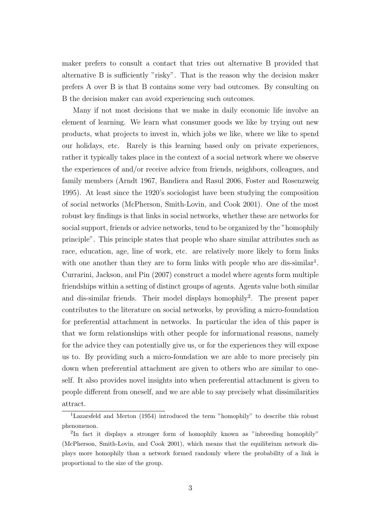maker prefers to consult a contact that tries out alternative B provided that alternative B is sufficiently "risky". That is the reason why the decision maker prefers A over B is that B contains some very bad outcomes. By consulting on B the decision maker can avoid experiencing such outcomes.

Many if not most decisions that we make in daily economic life involve an element of learning. We learn what consumer goods we like by trying out new products, what projects to invest in, which jobs we like, where we like to spend our holidays, etc. Rarely is this learning based only on private experiences, rather it typically takes place in the context of a social network where we observe the experiences of and/or receive advice from friends, neighbors, colleagues, and family members (Arndt 1967, Bandiera and Rasul 2006, Foster and Rosenzweig 1995). At least since the 1920's sociologist have been studying the composition of social networks (McPherson, Smith-Lovin, and Cook 2001). One of the most robust key findings is that links in social networks, whether these are networks for social support, friends or advice networks, tend to be organized by the "homophily principle". This principle states that people who share similar attributes such as race, education, age, line of work, etc. are relatively more likely to form links with one another than they are to form links with people who are dis-similar<sup>1</sup>. Currarini, Jackson, and Pin (2007) construct a model where agents form multiple friendships within a setting of distinct groups of agents. Agents value both similar and dis-similar friends. Their model displays homophily<sup>2</sup>. The present paper contributes to the literature on social networks, by providing a micro-foundation for preferential attachment in networks. In particular the idea of this paper is that we form relationships with other people for informational reasons, namely for the advice they can potentially give us, or for the experiences they will expose us to. By providing such a micro-foundation we are able to more precisely pin down when preferential attachment are given to others who are similar to oneself. It also provides novel insights into when preferential attachment is given to people different from oneself, and we are able to say precisely what dissimilarities attract.

<sup>1</sup>Lazarsfeld and Merton (1954) introduced the term "homophily" to describe this robust phenomenon.

<sup>&</sup>lt;sup>2</sup>In fact it displays a stronger form of homophily known as "inbreeding homophily" (McPherson, Smith-Lovin, and Cook 2001), which means that the equilibrium network displays more homophily than a network formed randomly where the probability of a link is proportional to the size of the group.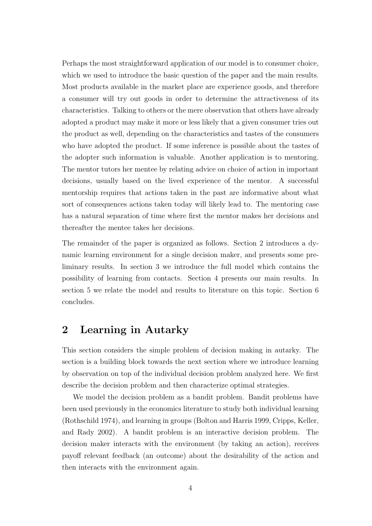Perhaps the most straightforward application of our model is to consumer choice, which we used to introduce the basic question of the paper and the main results. Most products available in the market place are experience goods, and therefore a consumer will try out goods in order to determine the attractiveness of its characteristics. Talking to others or the mere observation that others have already adopted a product may make it more or less likely that a given consumer tries out the product as well, depending on the characteristics and tastes of the consumers who have adopted the product. If some inference is possible about the tastes of the adopter such information is valuable. Another application is to mentoring. The mentor tutors her mentee by relating advice on choice of action in important decisions, usually based on the lived experience of the mentor. A successful mentorship requires that actions taken in the past are informative about what sort of consequences actions taken today will likely lead to. The mentoring case has a natural separation of time where first the mentor makes her decisions and thereafter the mentee takes her decisions.

The remainder of the paper is organized as follows. Section 2 introduces a dynamic learning environment for a single decision maker, and presents some preliminary results. In section 3 we introduce the full model which contains the possibility of learning from contacts. Section 4 presents our main results. In section 5 we relate the model and results to literature on this topic. Section 6 concludes.

# 2 Learning in Autarky

This section considers the simple problem of decision making in autarky. The section is a building block towards the next section where we introduce learning by observation on top of the individual decision problem analyzed here. We first describe the decision problem and then characterize optimal strategies.

We model the decision problem as a bandit problem. Bandit problems have been used previously in the economics literature to study both individual learning (Rothschild 1974), and learning in groups (Bolton and Harris 1999, Cripps, Keller, and Rady 2002). A bandit problem is an interactive decision problem. The decision maker interacts with the environment (by taking an action), receives payoff relevant feedback (an outcome) about the desirability of the action and then interacts with the environment again.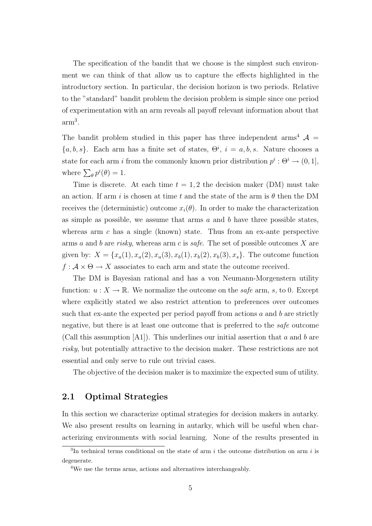The specification of the bandit that we choose is the simplest such environment we can think of that allow us to capture the effects highlighted in the introductory section. In particular, the decision horizon is two periods. Relative to the "standard" bandit problem the decision problem is simple since one period of experimentation with an arm reveals all payoff relevant information about that  $arm<sup>3</sup>$ .

The bandit problem studied in this paper has three independent arms<sup>4</sup>  $\mathcal{A}$  =  ${a, b, s}$ . Each arm has a finite set of states,  $\Theta^i$ ,  $i = a, b, s$ . Nature chooses a state for each arm *i* from the commonly known prior distribution  $p^i : \Theta^i \to (0, 1],$ where  $\sum_{\theta} p^{i}(\theta) = 1$ .

Time is discrete. At each time  $t = 1, 2$  the decision maker (DM) must take an action. If arm i is chosen at time t and the state of the arm is  $\theta$  then the DM receives the (deterministic) outcome  $x_i(\theta)$ . In order to make the characterization as simple as possible, we assume that arms  $a$  and  $b$  have three possible states, whereas arm  $c$  has a single (known) state. Thus from an ex-ante perspective arms a and b are risky, whereas arm c is safe. The set of possible outcomes X are given by:  $X = \{x_a(1), x_a(2), x_a(3), x_b(1), x_b(2), x_b(3), x_s\}$ . The outcome function  $f: \mathcal{A} \times \Theta \to X$  associates to each arm and state the outcome received.

The DM is Bayesian rational and has a von Neumann-Morgenstern utility function:  $u: X \to \mathbb{R}$ . We normalize the outcome on the safe arm, s, to 0. Except where explicitly stated we also restrict attention to preferences over outcomes such that ex-ante the expected per period payoff from actions  $a$  and  $b$  are strictly negative, but there is at least one outcome that is preferred to the safe outcome (Call this assumption  $[A1]$ ). This underlines our initial assertion that a and b are risky, but potentially attractive to the decision maker. These restrictions are not essential and only serve to rule out trivial cases.

The objective of the decision maker is to maximize the expected sum of utility.

### 2.1 Optimal Strategies

In this section we characterize optimal strategies for decision makers in autarky. We also present results on learning in autarky, which will be useful when characterizing environments with social learning. None of the results presented in

<sup>&</sup>lt;sup>3</sup>In technical terms conditional on the state of arm  $i$  the outcome distribution on arm  $i$  is degenerate.

<sup>4</sup>We use the terms arms, actions and alternatives interchangeably.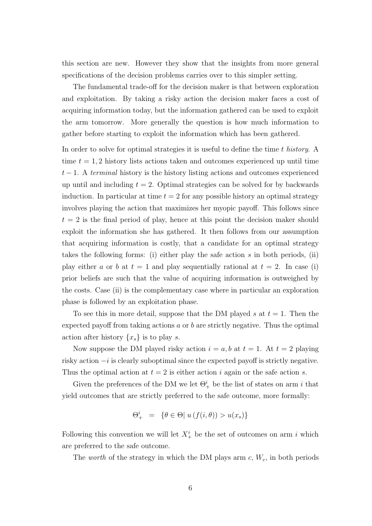this section are new. However they show that the insights from more general specifications of the decision problems carries over to this simpler setting.

The fundamental trade-off for the decision maker is that between exploration and exploitation. By taking a risky action the decision maker faces a cost of acquiring information today, but the information gathered can be used to exploit the arm tomorrow. More generally the question is how much information to gather before starting to exploit the information which has been gathered.

In order to solve for optimal strategies it is useful to define the time t history. A time  $t = 1, 2$  history lists actions taken and outcomes experienced up until time  $t-1$ . A terminal history is the history listing actions and outcomes experienced up until and including  $t = 2$ . Optimal strategies can be solved for by backwards induction. In particular at time  $t = 2$  for any possible history an optimal strategy involves playing the action that maximizes her myopic payoff. This follows since  $t = 2$  is the final period of play, hence at this point the decision maker should exploit the information she has gathered. It then follows from our assumption that acquiring information is costly, that a candidate for an optimal strategy takes the following forms: (i) either play the safe action  $s$  in both periods, (ii) play either a or b at  $t = 1$  and play sequentially rational at  $t = 2$ . In case (i) prior beliefs are such that the value of acquiring information is outweighed by the costs. Case (ii) is the complementary case where in particular an exploration phase is followed by an exploitation phase.

To see this in more detail, suppose that the DM played s at  $t = 1$ . Then the expected payoff from taking actions  $a$  or  $b$  are strictly negative. Thus the optimal action after history  $\{x_s\}$  is to play s.

Now suppose the DM played risky action  $i = a, b$  at  $t = 1$ . At  $t = 2$  playing risky action  $-i$  is clearly suboptimal since the expected payoff is strictly negative. Thus the optimal action at  $t = 2$  is either action i again or the safe action s.

Given the preferences of the DM we let  $\Theta^i_+$  be the list of states on arm i that yield outcomes that are strictly preferred to the safe outcome, more formally:

$$
\Theta^i_+ = \{ \theta \in \Theta \mid u(f(i, \theta)) > u(x_s) \}
$$

Following this convention we will let  $X^i_+$  be the set of outcomes on arm i which are preferred to the safe outcome.

The worth of the strategy in which the DM plays arm  $c, W_c$ , in both periods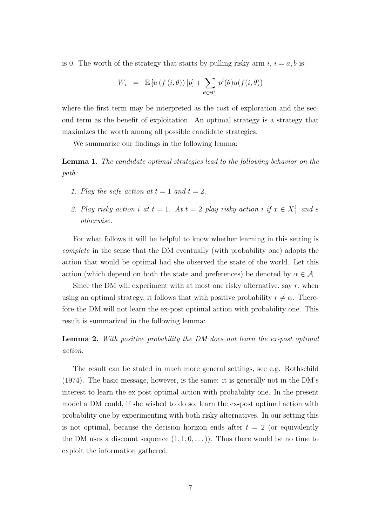is 0. The worth of the strategy that starts by pulling risky arm  $i, i = a, b$  is:

$$
W_i = \mathbb{E}\left[u\left(f\left(i,\theta\right)\right)|p\right] + \sum_{\theta \in \Theta^i_+} p^i(\theta)u(f(i,\theta))
$$

where the first term may be interpreted as the cost of exploration and the second term as the benefit of exploitation. An optimal strategy is a strategy that maximizes the worth among all possible candidate strategies.

We summarize our findings in the following lemma:

Lemma 1. The candidate optimal strategies lead to the following behavior on the path:

- 1. Play the safe action at  $t = 1$  and  $t = 2$ .
- 2. Play risky action i at  $t = 1$ . At  $t = 2$  play risky action i if  $x \in X^i_+$  and s otherwise.

For what follows it will be helpful to know whether learning in this setting is complete in the sense that the DM eventually (with probability one) adopts the action that would be optimal had she observed the state of the world. Let this action (which depend on both the state and preferences) be denoted by  $\alpha \in \mathcal{A}$ .

Since the DM will experiment with at most one risky alternative, say  $r$ , when using an optimal strategy, it follows that with positive probability  $r \neq \alpha$ . Therefore the DM will not learn the ex-post optimal action with probability one. This result is summarized in the following lemma:

**Lemma 2.** With positive probability the DM does not learn the ex-post optimal action.

The result can be stated in much more general settings, see e.g. Rothschild (1974). The basic message, however, is the same: it is generally not in the DM's interest to learn the ex post optimal action with probability one. In the present model a DM could, if she wished to do so, learn the ex-post optimal action with probability one by experimenting with both risky alternatives. In our setting this is not optimal, because the decision horizon ends after  $t = 2$  (or equivalently the DM uses a discount sequence  $(1, 1, 0, ...)$ . Thus there would be no time to exploit the information gathered.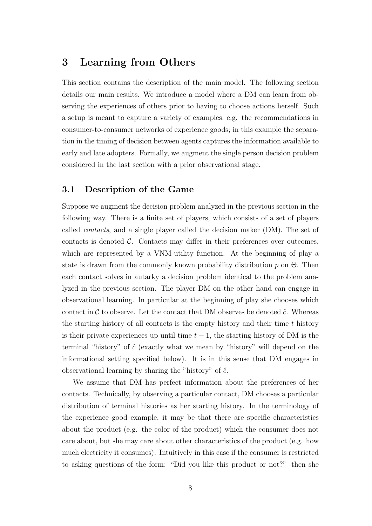# 3 Learning from Others

This section contains the description of the main model. The following section details our main results. We introduce a model where a DM can learn from observing the experiences of others prior to having to choose actions herself. Such a setup is meant to capture a variety of examples, e.g. the recommendations in consumer-to-consumer networks of experience goods; in this example the separation in the timing of decision between agents captures the information available to early and late adopters. Formally, we augment the single person decision problem considered in the last section with a prior observational stage.

### 3.1 Description of the Game

Suppose we augment the decision problem analyzed in the previous section in the following way. There is a finite set of players, which consists of a set of players called contacts, and a single player called the decision maker (DM). The set of contacts is denoted  $\mathcal{C}$ . Contacts may differ in their preferences over outcomes, which are represented by a VNM-utility function. At the beginning of play a state is drawn from the commonly known probability distribution  $p$  on  $\Theta$ . Then each contact solves in autarky a decision problem identical to the problem analyzed in the previous section. The player DM on the other hand can engage in observational learning. In particular at the beginning of play she chooses which contact in C to observe. Let the contact that DM observes be denoted  $\hat{c}$ . Whereas the starting history of all contacts is the empty history and their time t history is their private experiences up until time  $t - 1$ , the starting history of DM is the terminal "history" of  $\hat{c}$  (exactly what we mean by "history" will depend on the informational setting specified below). It is in this sense that DM engages in observational learning by sharing the "history" of  $\hat{c}$ .

We assume that DM has perfect information about the preferences of her contacts. Technically, by observing a particular contact, DM chooses a particular distribution of terminal histories as her starting history. In the terminology of the experience good example, it may be that there are specific characteristics about the product (e.g. the color of the product) which the consumer does not care about, but she may care about other characteristics of the product (e.g. how much electricity it consumes). Intuitively in this case if the consumer is restricted to asking questions of the form: "Did you like this product or not?" then she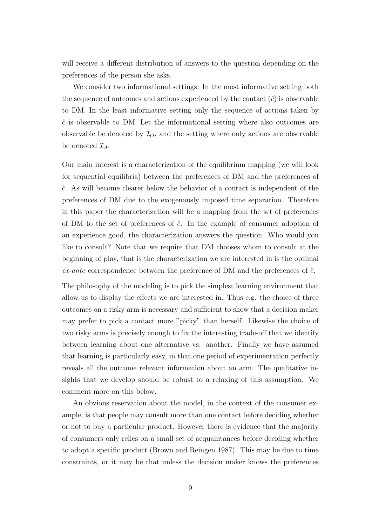will receive a different distribution of answers to the question depending on the preferences of the person she asks.

We consider two informational settings. In the most informative setting both the sequence of outcomes and actions experienced by the contact  $(\hat{c})$  is observable to DM. In the least informative setting only the sequence of actions taken by  $\hat{c}$  is observable to DM. Let the informational setting where also outcomes are observable be denoted by  $\mathcal{I}_O$ , and the setting where only actions are observable be denoted  $\mathcal{I}_A$ .

Our main interest is a characterization of the equilibrium mapping (we will look for sequential equilibria) between the preferences of DM and the preferences of  $\hat{c}$ . As will become clearer below the behavior of a contact is independent of the preferences of DM due to the exogenously imposed time separation. Therefore in this paper the characterization will be a mapping from the set of preferences of DM to the set of preferences of  $\hat{c}$ . In the example of consumer adoption of an experience good, the characterization answers the question: Who would you like to consult? Note that we require that DM chooses whom to consult at the beginning of play, that is the characterization we are interested in is the optimal  $ex$ -ante correspondence between the preference of DM and the preferences of  $\hat{c}$ .

The philosophy of the modeling is to pick the simplest learning environment that allow us to display the effects we are interested in. Thus e.g. the choice of three outcomes on a risky arm is necessary and sufficient to show that a decision maker may prefer to pick a contact more "picky" than herself. Likewise the choice of two risky arms is precisely enough to fix the interesting trade-off that we identify between learning about one alternative vs. another. Finally we have assumed that learning is particularly easy, in that one period of experimentation perfectly reveals all the outcome relevant information about an arm. The qualitative insights that we develop should be robust to a relaxing of this assumption. We comment more on this below.

An obvious reservation about the model, in the context of the consumer example, is that people may consult more than one contact before deciding whether or not to buy a particular product. However there is evidence that the majority of consumers only relies on a small set of acquaintances before deciding whether to adopt a specific product (Brown and Reingen 1987). This may be due to time constraints, or it may be that unless the decision maker knows the preferences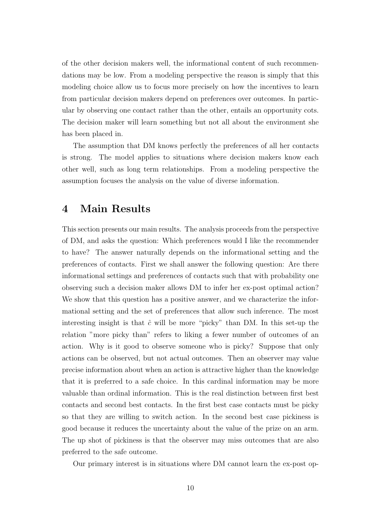of the other decision makers well, the informational content of such recommendations may be low. From a modeling perspective the reason is simply that this modeling choice allow us to focus more precisely on how the incentives to learn from particular decision makers depend on preferences over outcomes. In particular by observing one contact rather than the other, entails an opportunity cots. The decision maker will learn something but not all about the environment she has been placed in.

The assumption that DM knows perfectly the preferences of all her contacts is strong. The model applies to situations where decision makers know each other well, such as long term relationships. From a modeling perspective the assumption focuses the analysis on the value of diverse information.

# 4 Main Results

This section presents our main results. The analysis proceeds from the perspective of DM, and asks the question: Which preferences would I like the recommender to have? The answer naturally depends on the informational setting and the preferences of contacts. First we shall answer the following question: Are there informational settings and preferences of contacts such that with probability one observing such a decision maker allows DM to infer her ex-post optimal action? We show that this question has a positive answer, and we characterize the informational setting and the set of preferences that allow such inference. The most interesting insight is that  $\hat{c}$  will be more "picky" than DM. In this set-up the relation "more picky than" refers to liking a fewer number of outcomes of an action. Why is it good to observe someone who is picky? Suppose that only actions can be observed, but not actual outcomes. Then an observer may value precise information about when an action is attractive higher than the knowledge that it is preferred to a safe choice. In this cardinal information may be more valuable than ordinal information. This is the real distinction between first best contacts and second best contacts. In the first best case contacts must be picky so that they are willing to switch action. In the second best case pickiness is good because it reduces the uncertainty about the value of the prize on an arm. The up shot of pickiness is that the observer may miss outcomes that are also preferred to the safe outcome.

Our primary interest is in situations where DM cannot learn the ex-post op-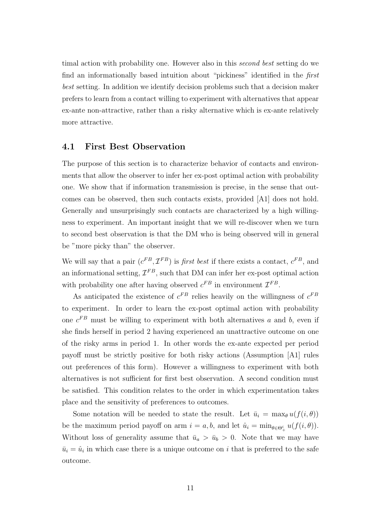timal action with probability one. However also in this second best setting do we find an informationally based intuition about "pickiness" identified in the first best setting. In addition we identify decision problems such that a decision maker prefers to learn from a contact willing to experiment with alternatives that appear ex-ante non-attractive, rather than a risky alternative which is ex-ante relatively more attractive.

### 4.1 First Best Observation

The purpose of this section is to characterize behavior of contacts and environments that allow the observer to infer her ex-post optimal action with probability one. We show that if information transmission is precise, in the sense that outcomes can be observed, then such contacts exists, provided [A1] does not hold. Generally and unsurprisingly such contacts are characterized by a high willingness to experiment. An important insight that we will re-discover when we turn to second best observation is that the DM who is being observed will in general be "more picky than" the observer.

We will say that a pair  $(c^{FB}, \mathcal{I}^{FB})$  is *first best* if there exists a contact,  $c^{FB}$ , and an informational setting,  $\mathcal{I}^{FB}$ , such that DM can infer her ex-post optimal action with probability one after having observed  $c^{FB}$  in environment  $\mathcal{I}^{FB}$ .

As anticipated the existence of  $c^{FB}$  relies heavily on the willingness of  $c^{FB}$ to experiment. In order to learn the ex-post optimal action with probability one  $c^{FB}$  must be willing to experiment with both alternatives a and b, even if she finds herself in period 2 having experienced an unattractive outcome on one of the risky arms in period 1. In other words the ex-ante expected per period payoff must be strictly positive for both risky actions (Assumption [A1] rules out preferences of this form). However a willingness to experiment with both alternatives is not sufficient for first best observation. A second condition must be satisfied. This condition relates to the order in which experimentation takes place and the sensitivity of preferences to outcomes.

Some notation will be needed to state the result. Let  $\bar{u}_i = \max_{\theta} u(f(i, \theta))$ be the maximum period payoff on arm  $i = a, b$ , and let  $\hat{u}_i = \min_{\theta \in \Theta^i_+} u(f(i, \theta)).$ Without loss of generality assume that  $\bar{u}_a > \bar{u}_b > 0$ . Note that we may have  $\bar{u}_i = \hat{u}_i$  in which case there is a unique outcome on i that is preferred to the safe outcome.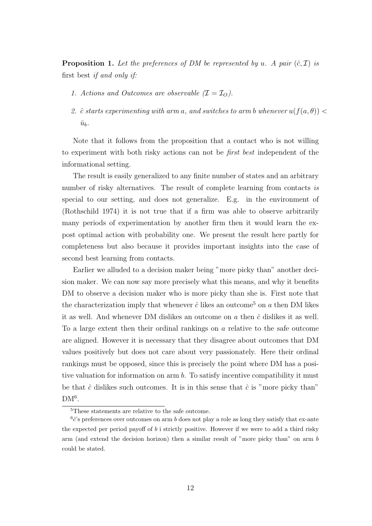**Proposition 1.** Let the preferences of DM be represented by u. A pair  $(\hat{c}, \mathcal{I})$  is first best if and only if:

- 1. Actions and Outcomes are observable  $(\mathcal{I} = \mathcal{I}_O)$ .
- 2. ĉ starts experimenting with arm a, and switches to arm b whenever  $u(f(a, \theta))$  <  $\bar{u}_b$ .

Note that it follows from the proposition that a contact who is not willing to experiment with both risky actions can not be first best independent of the informational setting.

The result is easily generalized to any finite number of states and an arbitrary number of risky alternatives. The result of complete learning from contacts is special to our setting, and does not generalize. E.g. in the environment of (Rothschild 1974) it is not true that if a firm was able to observe arbitrarily many periods of experimentation by another firm then it would learn the expost optimal action with probability one. We present the result here partly for completeness but also because it provides important insights into the case of second best learning from contacts.

Earlier we alluded to a decision maker being "more picky than" another decision maker. We can now say more precisely what this means, and why it benefits DM to observe a decision maker who is more picky than she is. First note that the characterization imply that whenever  $\hat{c}$  likes an outcome<sup>5</sup> on a then DM likes it as well. And whenever DM dislikes an outcome on  $a$  then  $\hat{c}$  dislikes it as well. To a large extent then their ordinal rankings on a relative to the safe outcome are aligned. However it is necessary that they disagree about outcomes that DM values positively but does not care about very passionately. Here their ordinal rankings must be opposed, since this is precisely the point where DM has a positive valuation for information on arm b. To satisfy incentive compatibility it must be that  $\hat{c}$  dislikes such outcomes. It is in this sense that  $\hat{c}$  is "more picky than"  $DM<sup>6</sup>$ .

<sup>&</sup>lt;sup>5</sup>These statements are relative to the safe outcome.

 $6\hat{c}$ 's preferences over outcomes on arm b does not play a role as long they satisfy that ex-ante the expected per period payoff of b i strictly positive. However if we were to add a third risky arm (and extend the decision horizon) then a similar result of "more picky than" on arm b could be stated.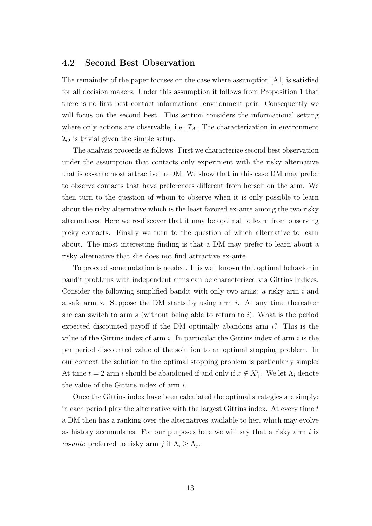### 4.2 Second Best Observation

The remainder of the paper focuses on the case where assumption [A1] is satisfied for all decision makers. Under this assumption it follows from Proposition 1 that there is no first best contact informational environment pair. Consequently we will focus on the second best. This section considers the informational setting where only actions are observable, i.e.  $\mathcal{I}_A$ . The characterization in environment  $\mathcal{I}_O$  is trivial given the simple setup.

The analysis proceeds as follows. First we characterize second best observation under the assumption that contacts only experiment with the risky alternative that is ex-ante most attractive to DM. We show that in this case DM may prefer to observe contacts that have preferences different from herself on the arm. We then turn to the question of whom to observe when it is only possible to learn about the risky alternative which is the least favored ex-ante among the two risky alternatives. Here we re-discover that it may be optimal to learn from observing picky contacts. Finally we turn to the question of which alternative to learn about. The most interesting finding is that a DM may prefer to learn about a risky alternative that she does not find attractive ex-ante.

To proceed some notation is needed. It is well known that optimal behavior in bandit problems with independent arms can be characterized via Gittins Indices. Consider the following simplified bandit with only two arms: a risky arm i and a safe arm s. Suppose the DM starts by using arm i. At any time thereafter she can switch to arm s (without being able to return to i). What is the period expected discounted payoff if the DM optimally abandons arm i? This is the value of the Gittins index of arm  $i$ . In particular the Gittins index of arm  $i$  is the per period discounted value of the solution to an optimal stopping problem. In our context the solution to the optimal stopping problem is particularly simple: At time  $t = 2$  arm i should be abandoned if and only if  $x \notin X^i_+$ . We let  $\Lambda_i$  denote the value of the Gittins index of arm  $i$ .

Once the Gittins index have been calculated the optimal strategies are simply: in each period play the alternative with the largest Gittins index. At every time t a DM then has a ranking over the alternatives available to her, which may evolve as history accumulates. For our purposes here we will say that a risky arm  $i$  is *ex-ante* preferred to risky arm j if  $\Lambda_i \geq \Lambda_j$ .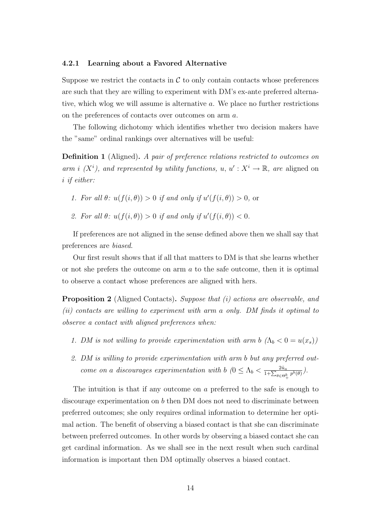#### 4.2.1 Learning about a Favored Alternative

Suppose we restrict the contacts in  $\mathcal C$  to only contain contacts whose preferences are such that they are willing to experiment with DM's ex-ante preferred alternative, which wlog we will assume is alternative a. We place no further restrictions on the preferences of contacts over outcomes on arm a.

The following dichotomy which identifies whether two decision makers have the "same" ordinal rankings over alternatives will be useful:

**Definition 1** (Aligned). A pair of preference relations restricted to outcomes on arm i  $(X^i)$ , and represented by utility functions, u,  $u' : X^i \to \mathbb{R}$ , are aligned on i if either:

- 1. For all  $\theta$ :  $u(f(i, \theta)) > 0$  if and only if  $u'(f(i, \theta)) > 0$ , or
- 2. For all  $\theta$ :  $u(f(i, \theta)) > 0$  if and only if  $u'(f(i, \theta)) < 0$ .

If preferences are not aligned in the sense defined above then we shall say that preferences are biased.

Our first result shows that if all that matters to DM is that she learns whether or not she prefers the outcome on arm a to the safe outcome, then it is optimal to observe a contact whose preferences are aligned with hers.

Proposition 2 (Aligned Contacts). Suppose that (i) actions are observable, and (ii) contacts are willing to experiment with arm a only. DM finds it optimal to observe a contact with aligned preferences when:

- 1. DM is not willing to provide experimentation with arm b  $(\Lambda_b < 0 = u(x_s))$
- 2. DM is willing to provide experimentation with arm b but any preferred outcome on a discourages experimentation with b  $(0 \leq \Lambda_b < \frac{2\hat{u}_a}{1+\sum_{k=1}^{b}u_k})$  $\frac{2u_a}{1+\sum_{\theta\in\Theta^b_+}p^b(\theta)}$ ).

The intuition is that if any outcome on a preferred to the safe is enough to discourage experimentation on b then DM does not need to discriminate between preferred outcomes; she only requires ordinal information to determine her optimal action. The benefit of observing a biased contact is that she can discriminate between preferred outcomes. In other words by observing a biased contact she can get cardinal information. As we shall see in the next result when such cardinal information is important then DM optimally observes a biased contact.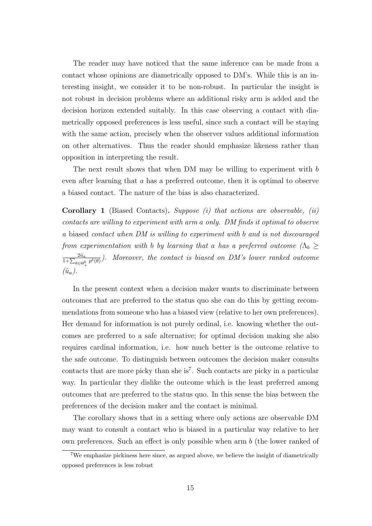The reader may have noticed that the same inference can be made from a contact whose opinions are diametrically opposed to DM's. While this is an interesting insight, we consider it to be non-robust. In particular the insight is not robust in decision problems where an additional risky arm is added and the decision horizon extended suitably. In this case observing a contact with diametrically opposed preferences is less useful, since such a contact will be staying with the same action, precisely when the observer values additional information on other alternatives. Thus the reader should emphasize likeness rather than opposition in interpreting the result.

The next result shows that when DM may be willing to experiment with  $b$ even after learning that a has a preferred outcome, then it is optimal to observe a biased contact. The nature of the bias is also characterized.

**Corollary 1** (Biased Contacts). Suppose (i) that actions are observable, (ii) contacts are willing to experiment with arm a only. DM finds it optimal to observe a biased contact when DM is willing to experiment with b and is not discouraged from experimentation with b by learning that a has a preferred outcome ( $\Lambda_b \geq$  $2\hat{u}_a$  $\frac{2u_a}{1+\sum_{\theta\in\Theta_+^b}p^b(\theta)}$ ). Moreover, the contact is biased on DM's lower ranked outcome  $(\hat{u}_a)$ .

In the present context when a decision maker wants to discriminate between outcomes that are preferred to the status quo she can do this by getting recommendations from someone who has a biased view (relative to her own preferences). Her demand for information is not purely ordinal, i.e. knowing whether the outcomes are preferred to a safe alternative; for optimal decision making she also requires cardinal information, i.e. how much better is the outcome relative to the safe outcome. To distinguish between outcomes the decision maker consults contacts that are more picky than she is<sup>7</sup>. Such contacts are picky in a particular way. In particular they dislike the outcome which is the least preferred among outcomes that are preferred to the status quo. In this sense the bias between the preferences of the decision maker and the contact is minimal.

The corollary shows that in a setting where only actions are observable DM may want to consult a contact who is biased in a particular way relative to her own preferences. Such an effect is only possible when arm  $b$  (the lower ranked of

<sup>7</sup>We emphasize pickiness here since, as argued above, we believe the insight of diametrically opposed preferences is less robust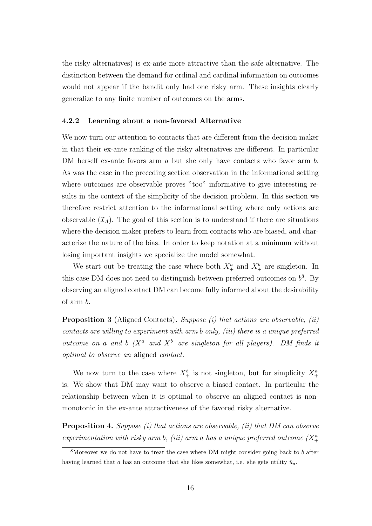the risky alternatives) is ex-ante more attractive than the safe alternative. The distinction between the demand for ordinal and cardinal information on outcomes would not appear if the bandit only had one risky arm. These insights clearly generalize to any finite number of outcomes on the arms.

#### 4.2.2 Learning about a non-favored Alternative

We now turn our attention to contacts that are different from the decision maker in that their ex-ante ranking of the risky alternatives are different. In particular DM herself ex-ante favors arm a but she only have contacts who favor arm b. As was the case in the preceding section observation in the informational setting where outcomes are observable proves "too" informative to give interesting results in the context of the simplicity of the decision problem. In this section we therefore restrict attention to the informational setting where only actions are observable  $(\mathcal{I}_A)$ . The goal of this section is to understand if there are situations where the decision maker prefers to learn from contacts who are biased, and characterize the nature of the bias. In order to keep notation at a minimum without losing important insights we specialize the model somewhat.

We start out be treating the case where both  $X^a_+$  and  $X^b_+$  are singleton. In this case DM does not need to distinguish between preferred outcomes on  $b^8$ . By observing an aligned contact DM can become fully informed about the desirability of arm b.

**Proposition 3** (Aligned Contacts). Suppose (i) that actions are observable, (ii) contacts are willing to experiment with arm b only, (iii) there is a unique preferred outcome on a and b  $(X^a_+$  and  $X^b_+$  are singleton for all players). DM finds it optimal to observe an aligned contact.

We now turn to the case where  $X^b_+$  is not singleton, but for simplicity  $X^a_+$ is. We show that DM may want to observe a biased contact. In particular the relationship between when it is optimal to observe an aligned contact is nonmonotonic in the ex-ante attractiveness of the favored risky alternative.

Proposition 4. Suppose (i) that actions are observable, (ii) that DM can observe experimentation with risky arm b, (iii) arm a has a unique preferred outcome  $(X^a_+$ 

<sup>&</sup>lt;sup>8</sup>Moreover we do not have to treat the case where DM might consider going back to b after having learned that a has an outcome that she likes somewhat, i.e. she gets utility  $\hat{u}_a$ .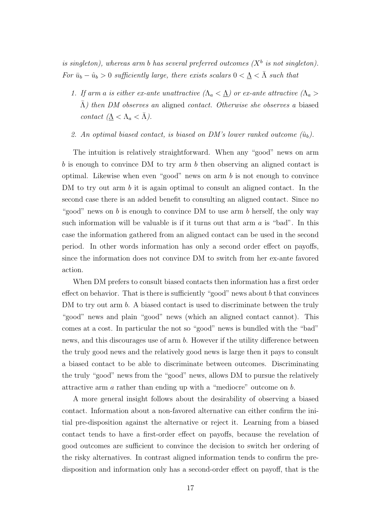is singleton), whereas arm b has several preferred outcomes  $(X^b$  is not singleton). For  $\bar{u}_b - \hat{u}_b > 0$  sufficiently large, there exists scalars  $0 < \underline{\Lambda} < \overline{\Lambda}$  such that

- 1. If arm a is either ex-ante unattractive  $(\Lambda_a \langle \Lambda_a \rangle)$  or ex-ante attractive  $(\Lambda_a \rangle$  $\Lambda$ ) then DM observes an aligned contact. Otherwise she observes a biased contact  $(\underline{\Lambda} < \Lambda_a < \overline{\Lambda})$ .
- 2. An optimal biased contact, is biased on DM's lower ranked outcome  $(\hat{u}_b)$ .

The intuition is relatively straightforward. When any "good" news on arm b is enough to convince DM to try arm b then observing an aligned contact is optimal. Likewise when even "good" news on arm  $b$  is not enough to convince DM to try out arm b it is again optimal to consult an aligned contact. In the second case there is an added benefit to consulting an aligned contact. Since no "good" news on b is enough to convince DM to use arm b herself, the only way such information will be valuable is if it turns out that arm  $a$  is "bad". In this case the information gathered from an aligned contact can be used in the second period. In other words information has only a second order effect on payoffs, since the information does not convince DM to switch from her ex-ante favored action.

When DM prefers to consult biased contacts then information has a first order effect on behavior. That is there is sufficiently "good" news about b that convinces DM to try out arm b. A biased contact is used to discriminate between the truly "good" news and plain "good" news (which an aligned contact cannot). This comes at a cost. In particular the not so "good" news is bundled with the "bad" news, and this discourages use of arm b. However if the utility difference between the truly good news and the relatively good news is large then it pays to consult a biased contact to be able to discriminate between outcomes. Discriminating the truly "good" news from the "good" news, allows DM to pursue the relatively attractive arm a rather than ending up with a "mediocre" outcome on b.

A more general insight follows about the desirability of observing a biased contact. Information about a non-favored alternative can either confirm the initial pre-disposition against the alternative or reject it. Learning from a biased contact tends to have a first-order effect on payoffs, because the revelation of good outcomes are sufficient to convince the decision to switch her ordering of the risky alternatives. In contrast aligned information tends to confirm the predisposition and information only has a second-order effect on payoff, that is the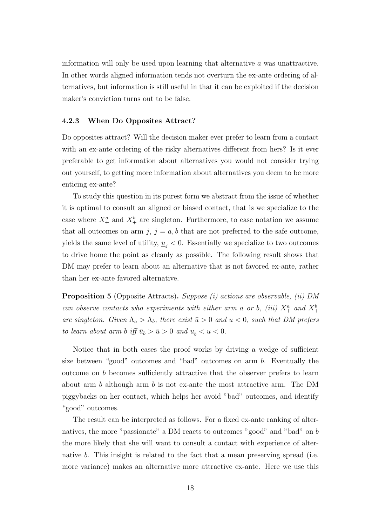information will only be used upon learning that alternative a was unattractive. In other words aligned information tends not overturn the ex-ante ordering of alternatives, but information is still useful in that it can be exploited if the decision maker's conviction turns out to be false.

#### 4.2.3 When Do Opposites Attract?

Do opposites attract? Will the decision maker ever prefer to learn from a contact with an ex-ante ordering of the risky alternatives different from hers? Is it ever preferable to get information about alternatives you would not consider trying out yourself, to getting more information about alternatives you deem to be more enticing ex-ante?

To study this question in its purest form we abstract from the issue of whether it is optimal to consult an aligned or biased contact, that is we specialize to the case where  $X^a_+$  and  $X^b_+$  are singleton. Furthermore, to ease notation we assume that all outcomes on arm j,  $j = a, b$  that are not preferred to the safe outcome, yields the same level of utility,  $u_i < 0$ . Essentially we specialize to two outcomes to drive home the point as cleanly as possible. The following result shows that DM may prefer to learn about an alternative that is not favored ex-ante, rather than her ex-ante favored alternative.

**Proposition 5** (Opposite Attracts). Suppose (i) actions are observable, (ii) DM can observe contacts who experiments with either arm a or b, (iii)  $X^a_+$  and  $X^b_+$ are singleton. Given  $\Lambda_a > \Lambda_b$ , there exist  $\bar{u} > 0$  and  $\underline{u} < 0$ , such that DM prefers to learn about arm b iff  $\bar{u}_b > \bar{u} > 0$  and  $\underline{u}_b < \underline{u} < 0$ .

Notice that in both cases the proof works by driving a wedge of sufficient size between "good" outcomes and "bad" outcomes on arm b. Eventually the outcome on b becomes sufficiently attractive that the observer prefers to learn about arm  $b$  although arm  $b$  is not ex-ante the most attractive arm. The DM piggybacks on her contact, which helps her avoid "bad" outcomes, and identify "good" outcomes.

The result can be interpreted as follows. For a fixed ex-ante ranking of alternatives, the more "passionate" a DM reacts to outcomes "good" and "bad" on b the more likely that she will want to consult a contact with experience of alternative b. This insight is related to the fact that a mean preserving spread (i.e. more variance) makes an alternative more attractive ex-ante. Here we use this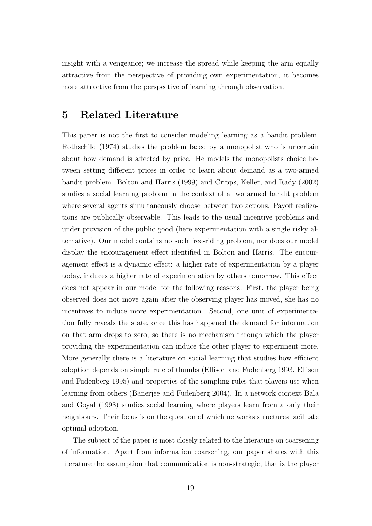insight with a vengeance; we increase the spread while keeping the arm equally attractive from the perspective of providing own experimentation, it becomes more attractive from the perspective of learning through observation.

# 5 Related Literature

This paper is not the first to consider modeling learning as a bandit problem. Rothschild (1974) studies the problem faced by a monopolist who is uncertain about how demand is affected by price. He models the monopolists choice between setting different prices in order to learn about demand as a two-armed bandit problem. Bolton and Harris (1999) and Cripps, Keller, and Rady (2002) studies a social learning problem in the context of a two armed bandit problem where several agents simultaneously choose between two actions. Payoff realizations are publically observable. This leads to the usual incentive problems and under provision of the public good (here experimentation with a single risky alternative). Our model contains no such free-riding problem, nor does our model display the encouragement effect identified in Bolton and Harris. The encouragement effect is a dynamic effect: a higher rate of experimentation by a player today, induces a higher rate of experimentation by others tomorrow. This effect does not appear in our model for the following reasons. First, the player being observed does not move again after the observing player has moved, she has no incentives to induce more experimentation. Second, one unit of experimentation fully reveals the state, once this has happened the demand for information on that arm drops to zero, so there is no mechanism through which the player providing the experimentation can induce the other player to experiment more. More generally there is a literature on social learning that studies how efficient adoption depends on simple rule of thumbs (Ellison and Fudenberg 1993, Ellison and Fudenberg 1995) and properties of the sampling rules that players use when learning from others (Banerjee and Fudenberg 2004). In a network context Bala and Goyal (1998) studies social learning where players learn from a only their neighbours. Their focus is on the question of which networks structures facilitate optimal adoption.

The subject of the paper is most closely related to the literature on coarsening of information. Apart from information coarsening, our paper shares with this literature the assumption that communication is non-strategic, that is the player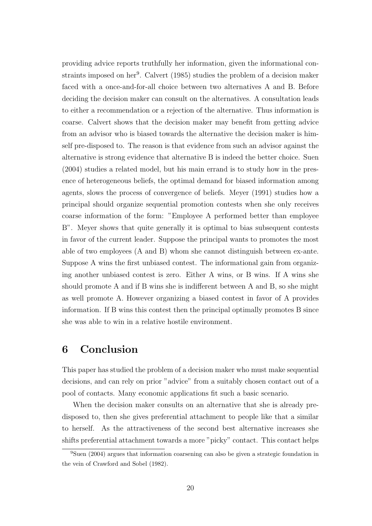providing advice reports truthfully her information, given the informational constraints imposed on her<sup>9</sup>. Calvert (1985) studies the problem of a decision maker faced with a once-and-for-all choice between two alternatives A and B. Before deciding the decision maker can consult on the alternatives. A consultation leads to either a recommendation or a rejection of the alternative. Thus information is coarse. Calvert shows that the decision maker may benefit from getting advice from an advisor who is biased towards the alternative the decision maker is himself pre-disposed to. The reason is that evidence from such an advisor against the alternative is strong evidence that alternative B is indeed the better choice. Suen (2004) studies a related model, but his main errand is to study how in the presence of heterogeneous beliefs, the optimal demand for biased information among agents, slows the process of convergence of beliefs. Meyer (1991) studies how a principal should organize sequential promotion contests when she only receives coarse information of the form: "Employee A performed better than employee B". Meyer shows that quite generally it is optimal to bias subsequent contests in favor of the current leader. Suppose the principal wants to promotes the most able of two employees (A and B) whom she cannot distinguish between ex-ante. Suppose A wins the first unbiased contest. The informational gain from organizing another unbiased contest is zero. Either A wins, or B wins. If A wins she should promote A and if B wins she is indifferent between A and B, so she might as well promote A. However organizing a biased contest in favor of A provides information. If B wins this contest then the principal optimally promotes B since she was able to win in a relative hostile environment.

# 6 Conclusion

This paper has studied the problem of a decision maker who must make sequential decisions, and can rely on prior "advice" from a suitably chosen contact out of a pool of contacts. Many economic applications fit such a basic scenario.

When the decision maker consults on an alternative that she is already predisposed to, then she gives preferential attachment to people like that a similar to herself. As the attractiveness of the second best alternative increases she shifts preferential attachment towards a more "picky" contact. This contact helps

<sup>9</sup>Suen (2004) argues that information coarsening can also be given a strategic foundation in the vein of Crawford and Sobel (1982).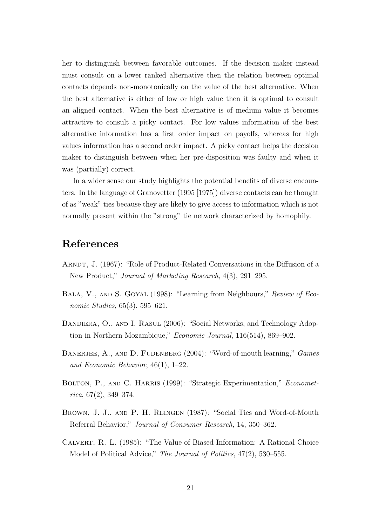her to distinguish between favorable outcomes. If the decision maker instead must consult on a lower ranked alternative then the relation between optimal contacts depends non-monotonically on the value of the best alternative. When the best alternative is either of low or high value then it is optimal to consult an aligned contact. When the best alternative is of medium value it becomes attractive to consult a picky contact. For low values information of the best alternative information has a first order impact on payoffs, whereas for high values information has a second order impact. A picky contact helps the decision maker to distinguish between when her pre-disposition was faulty and when it was (partially) correct.

In a wider sense our study highlights the potential benefits of diverse encounters. In the language of Granovetter (1995 [1975]) diverse contacts can be thought of as "weak" ties because they are likely to give access to information which is not normally present within the "strong" tie network characterized by homophily.

# References

- Arndt, J. (1967): "Role of Product-Related Conversations in the Diffusion of a New Product," Journal of Marketing Research, 4(3), 291–295.
- BALA, V., AND S. GOYAL (1998): "Learning from Neighbours," Review of Economic Studies, 65(3), 595–621.
- Bandiera, O., and I. Rasul (2006): "Social Networks, and Technology Adoption in Northern Mozambique," Economic Journal, 116(514), 869–902.
- BANERJEE, A., AND D. FUDENBERG (2004): "Word-of-mouth learning," Games and Economic Behavior, 46(1), 1–22.
- BOLTON, P., AND C. HARRIS (1999): "Strategic Experimentation," Economet $rica, 67(2), 349-374.$
- Brown, J. J., and P. H. Reingen (1987): "Social Ties and Word-of-Mouth Referral Behavior," Journal of Consumer Research, 14, 350–362.
- Calvert, R. L. (1985): "The Value of Biased Information: A Rational Choice Model of Political Advice," The Journal of Politics, 47(2), 530–555.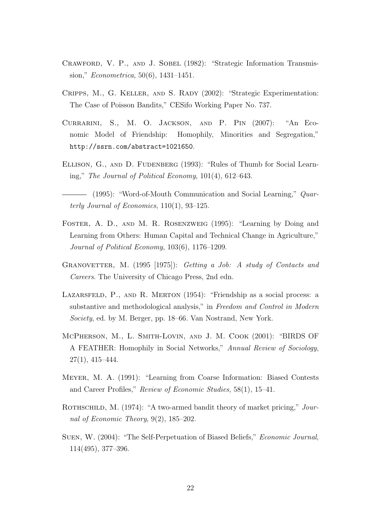- CRAWFORD, V. P., AND J. SOBEL (1982): "Strategic Information Transmission," Econometrica, 50(6), 1431–1451.
- CRIPPS, M., G. KELLER, AND S. RADY (2002): "Strategic Experimentation: The Case of Poisson Bandits," CESifo Working Paper No. 737.
- Currarini, S., M. O. Jackson, and P. Pin (2007): "An Economic Model of Friendship: Homophily, Minorities and Segregation," http://ssrn.com/abstract=1021650.
- ELLISON, G., AND D. FUDENBERG (1993): "Rules of Thumb for Social Learning," The Journal of Political Economy, 101(4), 612–643.
- $-$  (1995): "Word-of-Mouth Communication and Social Learning," Quarterly Journal of Economics, 110(1), 93–125.
- Foster, A. D., and M. R. Rosenzweig (1995): "Learning by Doing and Learning from Others: Human Capital and Technical Change in Agriculture," Journal of Political Economy, 103(6), 1176–1209.
- GRANOVETTER, M. (1995 [1975]): Getting a Job: A study of Contacts and Careers. The University of Chicago Press, 2nd edn.
- LAZARSFELD, P., AND R. MERTON (1954): "Friendship as a social process: a substantive and methodological analysis," in Freedom and Control in Modern Society, ed. by M. Berger, pp. 18–66. Van Nostrand, New York.
- McPherson, M., L. Smith-Lovin, and J. M. Cook (2001): "BIRDS OF A FEATHER: Homophily in Social Networks," Annual Review of Sociology, 27(1), 415–444.
- Meyer, M. A. (1991): "Learning from Coarse Information: Biased Contests and Career Profiles," Review of Economic Studies, 58(1), 15–41.
- ROTHSCHILD, M. (1974): "A two-armed bandit theory of market pricing," Journal of Economic Theory, 9(2), 185–202.
- Suen, W. (2004): "The Self-Perpetuation of Biased Beliefs," Economic Journal, 114(495), 377–396.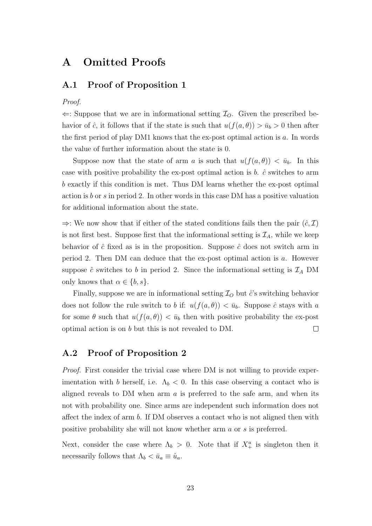# A Omitted Proofs

### A.1 Proof of Proposition 1

#### Proof.

 $\Leftarrow$ : Suppose that we are in informational setting  $\mathcal{I}_O$ . Given the prescribed behavior of  $\hat{c}$ , it follows that if the state is such that  $u(f(a, \theta)) > \bar{u}_b > 0$  then after the first period of play DM1 knows that the ex-post optimal action is a. In words the value of further information about the state is 0.

Suppose now that the state of arm a is such that  $u(f(a, \theta)) < \bar{u}_b$ . In this case with positive probability the ex-post optimal action is  $b$ .  $\hat{c}$  switches to arm b exactly if this condition is met. Thus DM learns whether the ex-post optimal action is b or s in period 2. In other words in this case DM has a positive valuation for additional information about the state.

 $\Rightarrow$ : We now show that if either of the stated conditions fails then the pair  $(\hat{c}, \mathcal{I})$ is not first best. Suppose first that the informational setting is  $\mathcal{I}_A$ , while we keep behavior of  $\hat{c}$  fixed as is in the proposition. Suppose  $\hat{c}$  does not switch arm in period 2. Then DM can deduce that the ex-post optimal action is a. However suppose  $\hat{c}$  switches to b in period 2. Since the informational setting is  $\mathcal{I}_A$  DM only knows that  $\alpha \in \{b, s\}.$ 

Finally, suppose we are in informational setting  $\mathcal{I}_O$  but  $\hat{c}$ 's switching behavior does not follow the rule switch to b if:  $u(f(a, \theta)) < \bar{u}_b$ . Suppose  $\hat{c}$  stays with a for some  $\theta$  such that  $u(f(a, \theta)) < \bar{u}_b$  then with positive probability the ex-post optimal action is on b but this is not revealed to DM.  $\Box$ 

### A.2 Proof of Proposition 2

*Proof.* First consider the trivial case where DM is not willing to provide experimentation with b herself, i.e.  $\Lambda_b < 0$ . In this case observing a contact who is aligned reveals to DM when arm  $\alpha$  is preferred to the safe arm, and when its not with probability one. Since arms are independent such information does not affect the index of arm b. If DM observes a contact who is not aligned then with positive probability she will not know whether arm a or s is preferred.

Next, consider the case where  $\Lambda_b > 0$ . Note that if  $X^a_+$  is singleton then it necessarily follows that  $\Lambda_b < \bar{u}_a \equiv \hat{u}_a$ .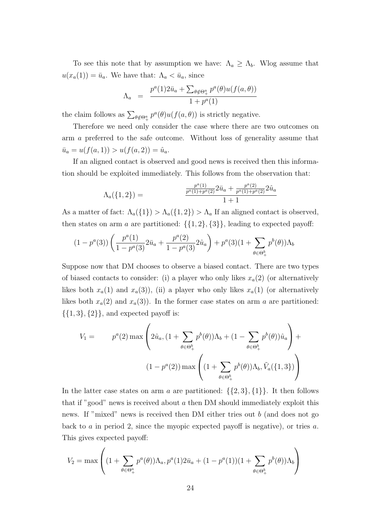To see this note that by assumption we have:  $\Lambda_a \geq \Lambda_b$ . Wlog assume that  $u(x_a(1)) = \bar{u}_a$ . We have that:  $\Lambda_a < \bar{u}_a$ , since

$$
\Lambda_a = \frac{p^a(1)2\bar{u}_a + \sum_{\theta \notin \Theta^a_+} p^a(\theta)u(f(a, \theta))}{1 + p^a(1)}
$$

the claim follows as  $\sum_{\theta \notin \Theta^a_+} p^a(\theta) u(f(a, \theta))$  is strictly negative.

Therefore we need only consider the case where there are two outcomes on arm a preferred to the safe outcome. Without loss of generality assume that  $\bar{u}_a = u(f(a, 1)) > u(f(a, 2)) = \hat{u}_a.$ 

If an aligned contact is observed and good news is received then this information should be exploited immediately. This follows from the observation that:

$$
\Lambda_a(\{1,2\}) = \frac{\frac{p^a(1)}{p^a(1)+p^a(2)}2\bar{u}_a + \frac{p^a(2)}{p^a(1)+p^a(2)}2\hat{u}_a}{1+1}
$$

As a matter of fact:  $\Lambda_a({1}) > \Lambda_a({1, 2}) > \Lambda_a$  If an aligned contact is observed, then states on arm a are partitioned:  $\{\{1,2\},\{3\}\}\$ , leading to expected payoff:

$$
(1 - p^{a}(3)) \left( \frac{p^{a}(1)}{1 - p^{a}(3)} 2\bar{u}_{a} + \frac{p^{a}(2)}{1 - p^{a}(3)} 2\hat{u}_{a} \right) + p^{a}(3)(1 + \sum_{\theta \in \Theta_{+}^{b}} p^{b}(\theta)) \Lambda_{b}
$$

Suppose now that DM chooses to observe a biased contact. There are two types of biased contacts to consider: (i) a player who only likes  $x_a(2)$  (or alternatively likes both  $x_a(1)$  and  $x_a(3)$ ), (ii) a player who only likes  $x_a(1)$  (or alternatively likes both  $x_a(2)$  and  $x_a(3)$ ). In the former case states on arm a are partitioned:  $\{\{1,3\},\{2\}\}\$ , and expected payoff is:

$$
V_1 = p^a(2) \max \left( 2\hat{u}_a, (1 + \sum_{\theta \in \Theta_+^b} p^b(\theta))\Lambda_b + (1 - \sum_{\theta \in \Theta_+^b} p^b(\theta))\hat{u}_a \right) +
$$
  

$$
(1 - p^a(2)) \max \left( (1 + \sum_{\theta \in \Theta_+^b} p^b(\theta))\Lambda_b, \tilde{V}_a(\{1, 3\}) \right)
$$

In the latter case states on arm a are partitioned:  $\{\{2,3\},\{1\}\}\$ . It then follows that if "good" news is received about  $\alpha$  then DM should immediately exploit this news. If "mixed" news is received then DM either tries out b (and does not go back to a in period 2, since the myopic expected payoff is negative), or tries a. This gives expected payoff:

$$
V_2 = \max \left( (1 + \sum_{\theta \in \Theta_+^a} p^a(\theta)) \Lambda_a, p^a(1) 2\bar{u}_a + (1 - p^a(1))(1 + \sum_{\theta \in \Theta_+^b} p^b(\theta)) \Lambda_b \right)
$$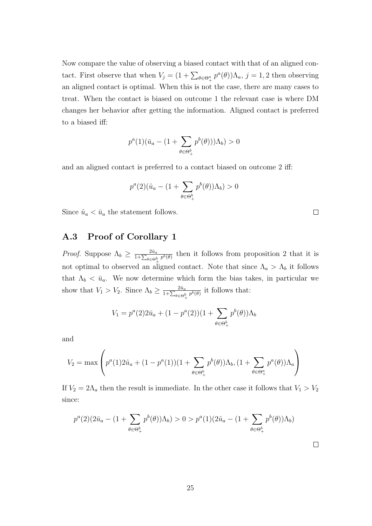Now compare the value of observing a biased contact with that of an aligned contact. First observe that when  $V_j = (1 + \sum_{\theta \in \Theta^a_+} p^a(\theta)) \Lambda_a$ ,  $j = 1, 2$  then observing an aligned contact is optimal. When this is not the case, there are many cases to treat. When the contact is biased on outcome 1 the relevant case is where DM changes her behavior after getting the information. Aligned contact is preferred to a biased iff:

$$
p^{a}(1)(\bar{u}_{a}-(1+\sum_{\theta\in\Theta_{+}^{b}}p^{b}(\theta)))\Lambda_{b})>0
$$

and an aligned contact is preferred to a contact biased on outcome 2 iff:

$$
p^{a}(2)(\hat{u}_{a} - (1 + \sum_{\theta \in \Theta_{+}^{b}} p^{b}(\theta))\Lambda_{b}) > 0
$$

 $\Box$ 

 $\Box$ 

Since  $\hat{u}_a < \bar{u}_a$  the statement follows.

## A.3 Proof of Corollary 1

*Proof.* Suppose  $\Lambda_b \geq \frac{2\hat{u}_a}{1+\sum_{k=1}^n u_k}$  $\frac{2u_a}{1+\sum_{\theta\in\Theta_+^b}p^b(\theta)}$  then it follows from proposition 2 that it is not optimal to observed an aligned contact. Note that since  $\Lambda_a > \Lambda_b$  it follows that  $\Lambda_b < \bar{u}_a$ . We now determine which form the bias takes, in particular we show that  $V_1 > V_2$ . Since  $\Lambda_b \geq \frac{2\hat{u}_a}{1+\sum_{k=1}^n u_k}$  $rac{2u_a}{1+\sum_{\theta\in\Theta_+^b}p^b(\theta)}$  it follows that:

$$
V_1 = p^a(2)2\bar{u}_a + (1 - p^a(2))(1 + \sum_{\theta \in \Theta_+^b} p^b(\theta))\Lambda_b
$$

and

$$
V_2 = \max \left( p^a(1) 2\hat{u}_a + (1 - p^a(1))(1 + \sum_{\theta \in \Theta_+^b} p^b(\theta))\Lambda_b, (1 + \sum_{\theta \in \Theta_+^a} p^a(\theta))\Lambda_a \right)
$$

If  $V_2 = 2\Lambda_a$  then the result is immediate. In the other case it follows that  $V_1 > V_2$ since:

$$
p^{a}(2)(2\bar{u}_{a} - (1 + \sum_{\theta \in \Theta_{+}^{b}} p^{b}(\theta))\Lambda_{b}) > 0 > p^{a}(1)(2\hat{u}_{a} - (1 + \sum_{\theta \in \Theta_{+}^{b}} p^{b}(\theta))\Lambda_{b})
$$

25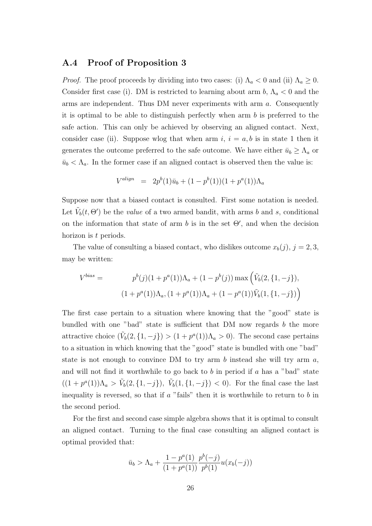### A.4 Proof of Proposition 3

*Proof.* The proof proceeds by dividing into two cases: (i)  $\Lambda_a < 0$  and (ii)  $\Lambda_a \geq 0$ . Consider first case (i). DM is restricted to learning about arm  $b, \Lambda_a < 0$  and the arms are independent. Thus DM never experiments with arm a. Consequently it is optimal to be able to distinguish perfectly when arm  $b$  is preferred to the safe action. This can only be achieved by observing an aligned contact. Next, consider case (ii). Suppose wlog that when arm  $i, i = a, b$  is in state 1 then it generates the outcome preferred to the safe outcome. We have either  $\bar{u}_b \geq \Lambda_a$  or  $\bar{u}_b < \Lambda_a$ . In the former case if an aligned contact is observed then the value is:

$$
V^{align} = 2p^{b}(1)\bar{u}_{b} + (1 - p^{b}(1))(1 + p^{a}(1))\Lambda_{a}
$$

Suppose now that a biased contact is consulted. First some notation is needed. Let  $\tilde{V}_b(t, \Theta')$  be the *value* of a two armed bandit, with arms b and s, conditional on the information that state of arm  $b$  is in the set  $\Theta'$ , and when the decision horizon is t periods.

The value of consulting a biased contact, who dislikes outcome  $x_b(j)$ ,  $j = 2, 3$ , may be written:

$$
V^{bias} = p^{b}(j)(1 + p^{a}(1))\Lambda_{a} + (1 - p^{b}(j)) \max \left(\tilde{V}_{b}(2, \{1, -j\}), \right)
$$

$$
(1 + p^{a}(1))\Lambda_{a}, (1 + p^{a}(1))\Lambda_{a} + (1 - p^{a}(1))\tilde{V}_{b}(1, \{1, -j\})\right)
$$

The first case pertain to a situation where knowing that the "good" state is bundled with one "bad" state is sufficient that DM now regards  $b$  the more attractive choice  $(\tilde{V}_b(2, \{1, -j\}) > (1 + p^a(1))\Lambda_a > 0)$ . The second case pertains to a situation in which knowing that the "good" state is bundled with one "bad" state is not enough to convince DM to try arm  $b$  instead she will try arm  $a$ , and will not find it worthwhile to go back to  $b$  in period if  $a$  has a "bad" state  $((1+p^a(1))\Lambda_a > \tilde{V}_b(2,\{1,-j\}), \ \tilde{V}_b(1,\{1,-j\}) < 0)$ . For the final case the last inequality is reversed, so that if  $a$  "fails" then it is worthwhile to return to  $b$  in the second period.

For the first and second case simple algebra shows that it is optimal to consult an aligned contact. Turning to the final case consulting an aligned contact is optimal provided that:

$$
\bar{u}_b > \Lambda_a + \frac{1 - p^a(1)}{(1 + p^a(1))} \frac{p^b(-j)}{p^b(1)} u(x_b(-j))
$$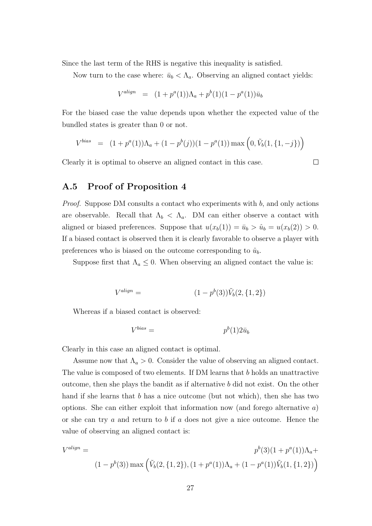Since the last term of the RHS is negative this inequality is satisfied.

Now turn to the case where:  $\bar{u}_b < \Lambda_a$ . Observing an aligned contact yields:

$$
V^{align} = (1 + p^{a}(1))\Lambda_{a} + p^{b}(1)(1 - p^{a}(1))\bar{u}_{b}
$$

For the biased case the value depends upon whether the expected value of the bundled states is greater than 0 or not.

$$
V^{bias} = (1 + p^{a}(1))\Lambda_a + (1 - p^{b}(j))(1 - p^{a}(1)) \max\left(0, \tilde{V}_b(1, \{1, -j\})\right)
$$

 $\Box$ 

Clearly it is optimal to observe an aligned contact in this case.

### A.5 Proof of Proposition 4

Proof. Suppose DM consults a contact who experiments with b, and only actions are observable. Recall that  $\Lambda_b < \Lambda_a$ . DM can either observe a contact with aligned or biased preferences. Suppose that  $u(x_b(1)) = \bar{u}_b > \hat{u}_b = u(x_b(2)) > 0$ . If a biased contact is observed then it is clearly favorable to observe a player with preferences who is biased on the outcome corresponding to  $\hat{u}_b$ .

Suppose first that  $\Lambda_a \leq 0$ . When observing an aligned contact the value is:

$$
V^{align} = (1 - p^{b}(3))\tilde{V}_{b}(2, \{1, 2\})
$$

Whereas if a biased contact is observed:

$$
V^{bias} = p^b(1)2\bar{u}_b
$$

Clearly in this case an aligned contact is optimal.

Assume now that  $\Lambda_a > 0$ . Consider the value of observing an aligned contact. The value is composed of two elements. If DM learns that b holds an unattractive outcome, then she plays the bandit as if alternative b did not exist. On the other hand if she learns that b has a nice outcome (but not which), then she has two options. She can either exploit that information now (and forego alternative  $a$ ) or she can try a and return to b if a does not give a nice outcome. Hence the value of observing an aligned contact is:

$$
V^{align} =
$$
  

$$
p^{b}(3)(1 + p^{a}(1))\Lambda_{a} +
$$
  

$$
(1 - p^{b}(3)) \max \left(\tilde{V}_{b}(2, \{1, 2\}), (1 + p^{a}(1))\Lambda_{a} + (1 - p^{a}(1))\tilde{V}_{b}(1, \{1, 2\})\right)
$$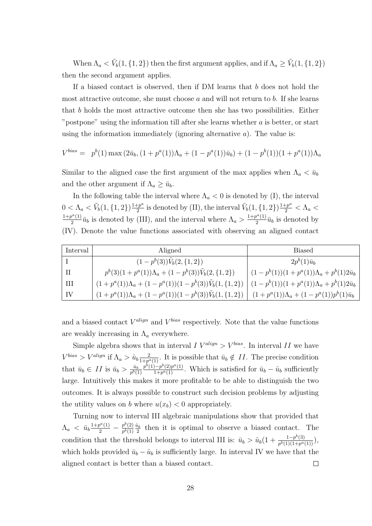When  $\Lambda_a < \tilde{V}_b(1,\{1,2\})$  then the first argument applies, and if  $\Lambda_a \ge \tilde{V}_b(1,\{1,2\})$ then the second argument applies.

If a biased contact is observed, then if DM learns that b does not hold the most attractive outcome, she must choose  $a$  and will not return to  $b$ . If she learns that b holds the most attractive outcome then she has two possibilities. Either "postpone" using the information till after she learns whether  $a$  is better, or start using the information immediately (ignoring alternative  $a$ ). The value is:

$$
V^{bias} = p^{b}(1) \max(2\bar{u}_b, (1 + p^{a}(1))\Lambda_a + (1 - p^{a}(1))\bar{u}_b) + (1 - p^{b}(1))(1 + p^{a}(1))\Lambda_a)
$$

Similar to the aligned case the first argument of the max applies when  $\Lambda_a < \bar{u}_b$ and the other argument if  $\Lambda_a \geq \bar{u}_b$ .

In the following table the interval where  $\Lambda_a < 0$  is denoted by (I), the interval  $0 < \Lambda_a < \tilde{V}_b(1, \{1, 2\}) \frac{1 + p^a}{2}$  $\frac{1+p^a}{2}$  is denoted by (II), the interval  $\tilde{V}_b(1, \{1, 2\}) \frac{1+p^a}{2} < \Lambda_a <$  $1+p^{a}(1)$  $\frac{p^a(1)}{2}\bar{u}_b$  is denoted by (III), and the interval where  $\Lambda_a > \frac{1+p^a(1)}{2}$  $\frac{\partial^{2}(1)}{2}\overline{u}_{b}$  is denoted by (IV). Denote the value functions associated with observing an aligned contact

| Interval                    | Aligned                                                                                                                          | <b>Biased</b>                                          |
|-----------------------------|----------------------------------------------------------------------------------------------------------------------------------|--------------------------------------------------------|
|                             | $(1-p^b(3))\tilde{V}_b(2,\{1,2\})$                                                                                               | $2p^b(1)\bar{u}_b$                                     |
| H                           | $p^{b}(3)(1+p^{a}(1))\Lambda_{a} + (1-p^{b}(3))\tilde{V}_{b}(2,\{1,2\})$                                                         | $(1-p^{b}(1))(1+p^{a}(1))\Lambda_a+p^{b}(1)2\bar{u}_b$ |
| Ш                           | $\left[(1+p^a(1))\Lambda_a + (1-p^a(1))(1-p^b(3))\tilde{V}_b(1,\{1,2\})\right] (1-p^b(1))(1+p^a(1))\Lambda_a + p^b(1)2\bar{u}_b$ |                                                        |
| $\overline{\phantom{a}}$ IV | $\left[(1+p^a(1))\Lambda_a + (1-p^a(1))(1-p^b(3))\tilde{V}_b(1,\{1,2\})\right] (1+p^a(1))\Lambda_a + (1-p^a(1))p^b(1)\bar{u}_b$  |                                                        |

and a biased contact  $V^{align}$  and  $V^{bias}$  respectively. Note that the value functions are weakly increasing in  $\Lambda_a$  everywhere.

Simple algebra shows that in interval  $I V^{align} > V^{bias}$ . In interval  $II$  we have  $V^{bias} > V^{align}$  if  $\Lambda_a > \hat{u}_b \frac{2}{1 + p^a}$  $\frac{2}{1+p^a(1)}$ . It is possible that  $\bar{u}_b \notin II$ . The precise condition that  $\bar{u}_b \in II$  is  $\bar{u}_b > \frac{\hat{u}_b}{p^b}$  $\frac{\hat{u}_b}{p^b(1)} \frac{p^b(1)-p^b(2)p^a(1)}{1+p^a(1)}$  $\frac{(-p^2-2p^2-1)}{1+p^a(1)}$ . Which is satisfied for  $\bar{u}_b - \hat{u}_b$  sufficiently large. Intuitively this makes it more profitable to be able to distinguish the two outcomes. It is always possible to construct such decision problems by adjusting the utility values on b where  $u(x_b) < 0$  appropriately.

Turning now to interval III algebraic manipulations show that provided that  $\Lambda_a \ < \ \bar{u}_b \frac{1 + p^a(1)}{2} - \frac{p^b(2)}{p^b(1)}$  $\frac{p^o(2)}{p^b(1)}\frac{\hat{u}_b}{2}$  $\frac{u_b}{2}$  then it is optimal to observe a biased contact. The condition that the threshold belongs to interval III is:  $\bar{u}_b > \hat{u}_b(1 + \frac{1-p^b(3)}{p^b(1)(1+p^a)}$  $\frac{1-p^{\circ}(3)}{p^{b}(1)(1+p^{a}(1))},$ which holds provided  $\bar{u}_b - \hat{u}_b$  is sufficiently large. In interval IV we have that the aligned contact is better than a biased contact.  $\Box$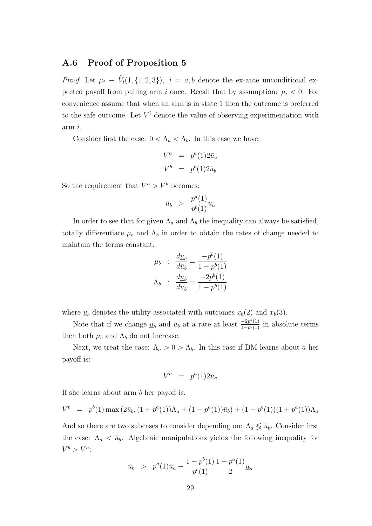### A.6 Proof of Proposition 5

*Proof.* Let  $\mu_i \equiv \tilde{V}_i(1, \{1, 2, 3\}), i = a, b$  denote the ex-ante unconditional expected payoff from pulling arm i once. Recall that by assumption:  $\mu_i < 0$ . For convenience assume that when an arm is in state 1 then the outcome is preferred to the safe outcome. Let  $V^i$  denote the value of observing experimentation with arm i.

Consider first the case:  $0 < \Lambda_a < \Lambda_b$ . In this case we have:

$$
V^a = p^a(1)2\bar{u}_a
$$
  

$$
V^b = p^b(1)2\bar{u}_b
$$

So the requirement that  $V^a > V^b$  becomes:

$$
\bar{u}_b > \frac{p^a(1)}{p^b(1)} \bar{u}_a
$$

In order to see that for given  $\Lambda_a$  and  $\Lambda_b$  the inequality can always be satisfied, totally differentiate  $\mu_b$  and  $\Lambda_b$  in order to obtain the rates of change needed to maintain the terms constant:

$$
\mu_b : \frac{d\underline{u}_b}{d\bar{u}_b} = \frac{-p^b(1)}{1 - p^b(1)}
$$

$$
\Lambda_b : \frac{d\underline{u}_b}{d\bar{u}_b} = \frac{-2p^b(1)}{1 - p^b(1)}
$$

where  $\underline{u}_b$  denotes the utility associated with outcomes  $x_b(2)$  and  $x_b(3)$ .

Note that if we change  $\underline{u}_b$  and  $\bar{u}_b$  at a rate at least  $\frac{-2p^b(1)}{1-p^b(1)}$  $\frac{-2p^{\epsilon}(1)}{1-p^b(1)}$  in absolute terms then both  $\mu_b$  and  $\Lambda_b$  do not increase.

Next, we treat the case:  $\Lambda_a > 0 > \Lambda_b$ . In this case if DM learns about a her payoff is:

$$
V^a = p^a(1)2\bar{u}_a
$$

If she learns about arm b her payoff is:

$$
V^{b} = p^{b}(1) \max (2\bar{u}_{b}, (1 + p^{a}(1))\Lambda_{a} + (1 - p^{a}(1))\bar{u}_{b}) + (1 - p^{b}(1))(1 + p^{a}(1))\Lambda_{a}
$$

And so there are two subcases to consider depending on:  $\Lambda_a \leq \bar{u}_b$ . Consider first the case:  $\Lambda_a < \bar{u}_b$ . Algebraic manipulations yields the following inequality for  $V^b > V^a$ :

$$
\bar{u}_b
$$
 >  $p^a(1)\bar{u}_a - \frac{1-p^b(1)}{p^b(1)}\frac{1-p^a(1)}{2}u_a$